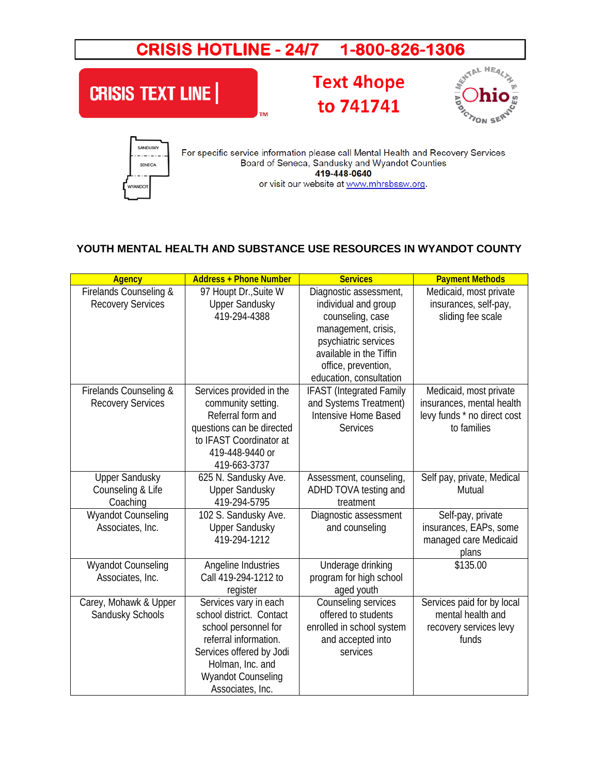## CRISIS HOTLINE - 24/7 1-800-826-1306



## **YOUTH MENTAL HEALTH AND SUBSTANCE USE RESOURCES IN WYANDOT COUNTY**

| <b>Agency</b>                                          | <b>Address + Phone Number</b>                                                                                                                                                                       | <b>Services</b>                                                                                                                                                                                | <b>Payment Methods</b>                                                                            |
|--------------------------------------------------------|-----------------------------------------------------------------------------------------------------------------------------------------------------------------------------------------------------|------------------------------------------------------------------------------------------------------------------------------------------------------------------------------------------------|---------------------------------------------------------------------------------------------------|
| Firelands Counseling &<br><b>Recovery Services</b>     | 97 Houpt Dr., Suite W<br><b>Upper Sandusky</b><br>419-294-4388                                                                                                                                      | Diagnostic assessment,<br>individual and group<br>counseling, case<br>management, crisis,<br>psychiatric services<br>available in the Tiffin<br>office, prevention,<br>education, consultation | Medicaid, most private<br>insurances, self-pay,<br>sliding fee scale                              |
| Firelands Counseling &<br><b>Recovery Services</b>     | Services provided in the<br>community setting.<br>Referral form and<br>questions can be directed<br>to IFAST Coordinator at<br>419-448-9440 or<br>419-663-3737                                      | <b>IFAST</b> (Integrated Family<br>and Systems Treatment)<br>Intensive Home Based<br>Services                                                                                                  | Medicaid, most private<br>insurances, mental health<br>levy funds * no direct cost<br>to families |
| <b>Upper Sandusky</b><br>Counseling & Life<br>Coaching | 625 N. Sandusky Ave.<br><b>Upper Sandusky</b><br>419-294-5795                                                                                                                                       | Assessment, counseling,<br>ADHD TOVA testing and<br>treatment                                                                                                                                  | Self pay, private, Medical<br>Mutual                                                              |
| <b>Wyandot Counseling</b><br>Associates, Inc.          | 102 S. Sandusky Ave.<br><b>Upper Sandusky</b><br>419-294-1212                                                                                                                                       | Diagnostic assessment<br>and counseling                                                                                                                                                        | Self-pay, private<br>insurances, EAPs, some<br>managed care Medicaid<br>plans                     |
| Wyandot Counseling<br>Associates, Inc.                 | Angeline Industries<br>Call 419-294-1212 to<br>register                                                                                                                                             | Underage drinking<br>program for high school<br>aged youth                                                                                                                                     | \$135.00                                                                                          |
| Carey, Mohawk & Upper<br>Sandusky Schools              | Services vary in each<br>school district. Contact<br>school personnel for<br>referral information.<br>Services offered by Jodi<br>Holman, Inc. and<br><b>Wyandot Counseling</b><br>Associates, Inc. | Counseling services<br>offered to students<br>enrolled in school system<br>and accepted into<br>services                                                                                       | Services paid for by local<br>mental health and<br>recovery services levy<br>funds                |